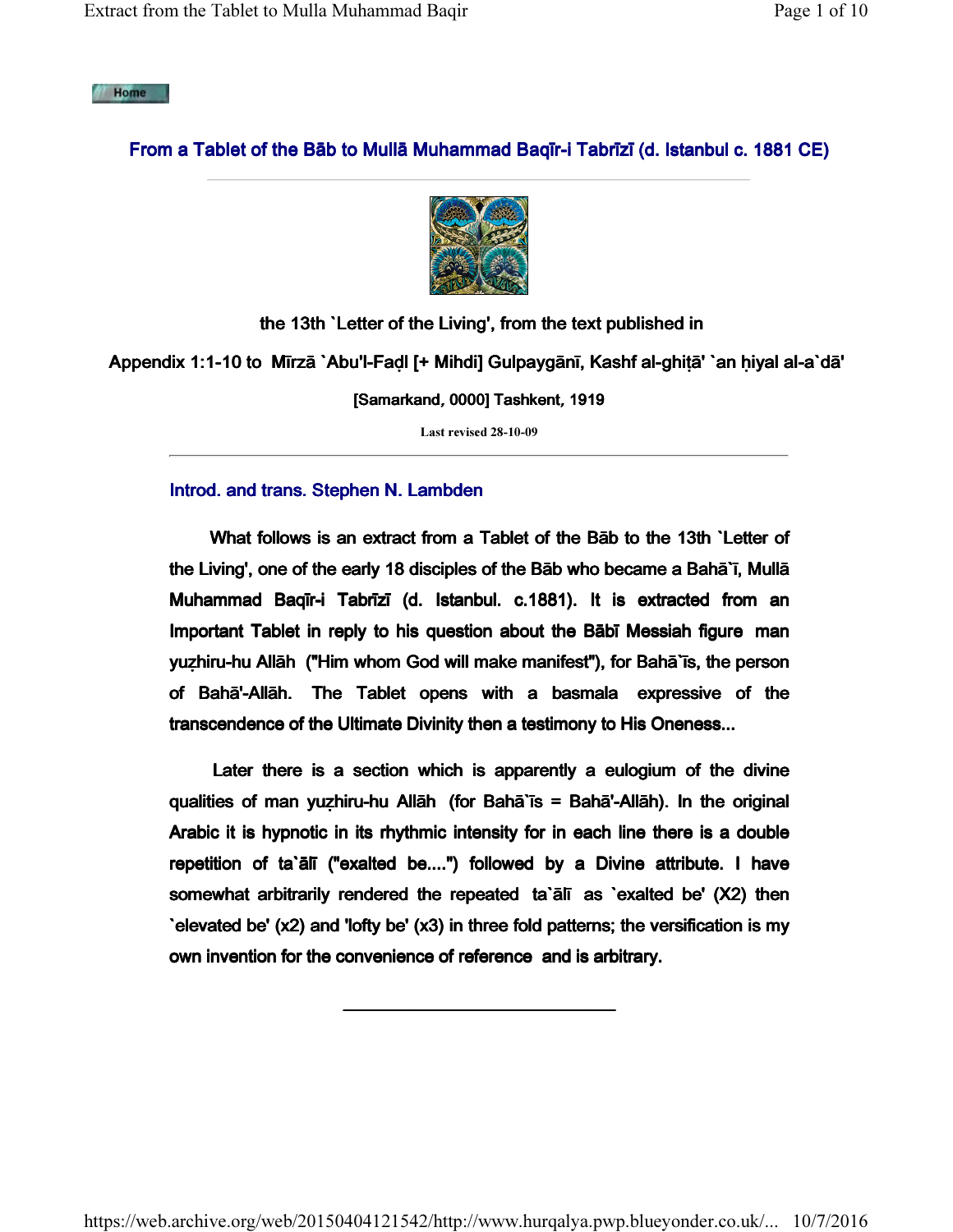Home

#### From a Tablet of the Bāb to Mullā Muhammad Baqīr-i Tabrīzī (d. Istanbul c. 1881 CE)



#### the 13th `Letter of the Living', from the text published in

Appendix 1:1-10 to Mīrzā `Abu'l-Faḍl [+ Mihdi] Gulpaygānī, Kashf al-ghiṭā' `an ḥiyal al-a`dā'

[Samarkand, 0000] Tashkent, 1919

Last revised 28-10-09

#### Introd. and trans. Stephen N. Lambden

 What follows is an extract from a Tablet of the Bāb to the 13th `Letter of the Living', one of the early 18 disciples of the Bāb who became a Bahā`ī, Mullā Muhammad Baqīr-i Tabrīzī (d. Istanbul. c.1881). It is extracted from an Important Tablet in reply to his question about the Bābī Messiah figure man yuẓhiru-hu Allāh ("Him whom God will make manifest"), for Bahā`īs, the person of Bahā'-Allāh. The Tablet opens with a basmala expressive of the transcendence of the Ultimate Divinity then a testimony to His Oneness...

 Later there is a section which is apparently a eulogium of the divine qualities of man yuẓhiru-hu Allāh (for Bahā`īs = Bahā'-Allāh). In the original Arabic it is hypnotic in its rhythmic intensity for in each line there is a double repetition of ta`ālī ("exalted be....") followed by a Divine attribute. I have somewhat arbitrarily rendered the repeated ta`ālī as `exalted be' (X2) then `elevated be' (x2) and 'lofty be' (x3) in three fold patterns; the versification is my own invention for the convenience of reference and is arbitrary.

\_\_\_\_\_\_\_\_\_\_\_\_\_\_\_\_\_\_\_\_\_\_\_\_\_\_\_\_\_\_\_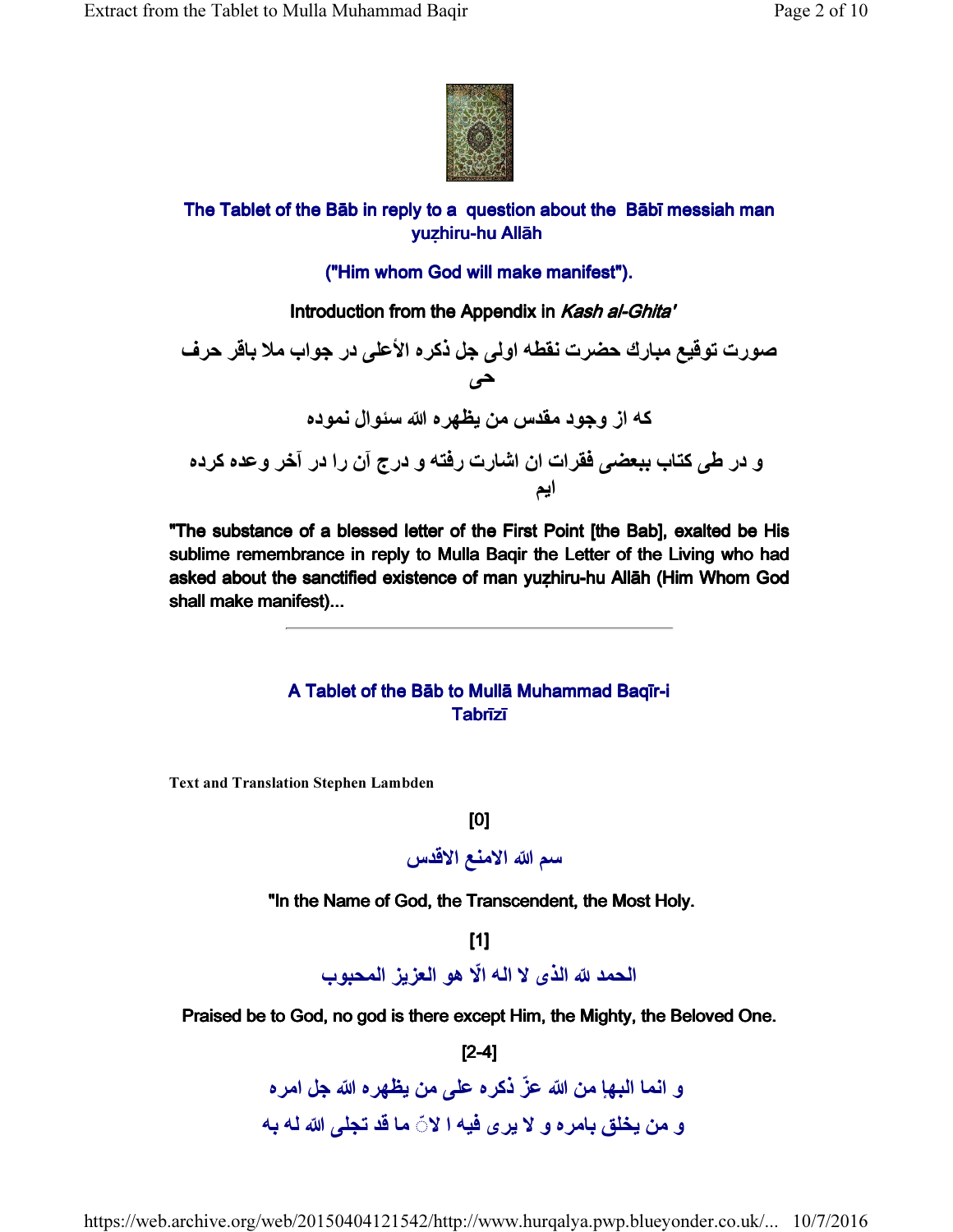

#### The Tablet of the Bāb in reply to a question about the Bābī messiah man yuẓhiru-hu Allāh

#### ("Him whom God will make manifest").

#### Introduction from the Appendix in Kash al-Ghita'

ص رو ح كرابم عيقوت ت ضر لأا هركذ لج یلوا هطقن ت باوج رد یلع رح رقاب لام ف ح ی -ّ هدومنلاوئس دقم دوجو زا هك س هرهظي نم و ط رد عبب باتك ی ض راشا نا تارقف ی رد و هتفر ت رخآ رد ار نآ ج و هدرك هدع ميا

"The substance of a blessed letter of the First Point [the Bab], exalted be His sublime remembrance in reply to Mulla Baqir the Letter of the Living who had asked about the sanctified existence of man yuẓhiru-hu Allāh (Him Whom God shall make manifest)...

#### A Tablet of the Bāb to Mullā Muhammad Baqīr-i Tabrīzī

Text and Translation Stephen Lambden

[0]

## سم الله الامنع الاقدس

"In the Name of God, the Transcendent, the Most Holy.

[1]

الحمد لله الذي لا الـه ال<mark>ّا</mark> هو العزيز المحبوب

Praised be to God, no god is there except Him, the Mighty, the Beloved One.

### [2-4] و انما البهإ من الله عزّ ذكره على من يظهره الله جل امره Ű و من يخلق بامره و لا پري فيه ا لانّ ما قد تجلي الله له به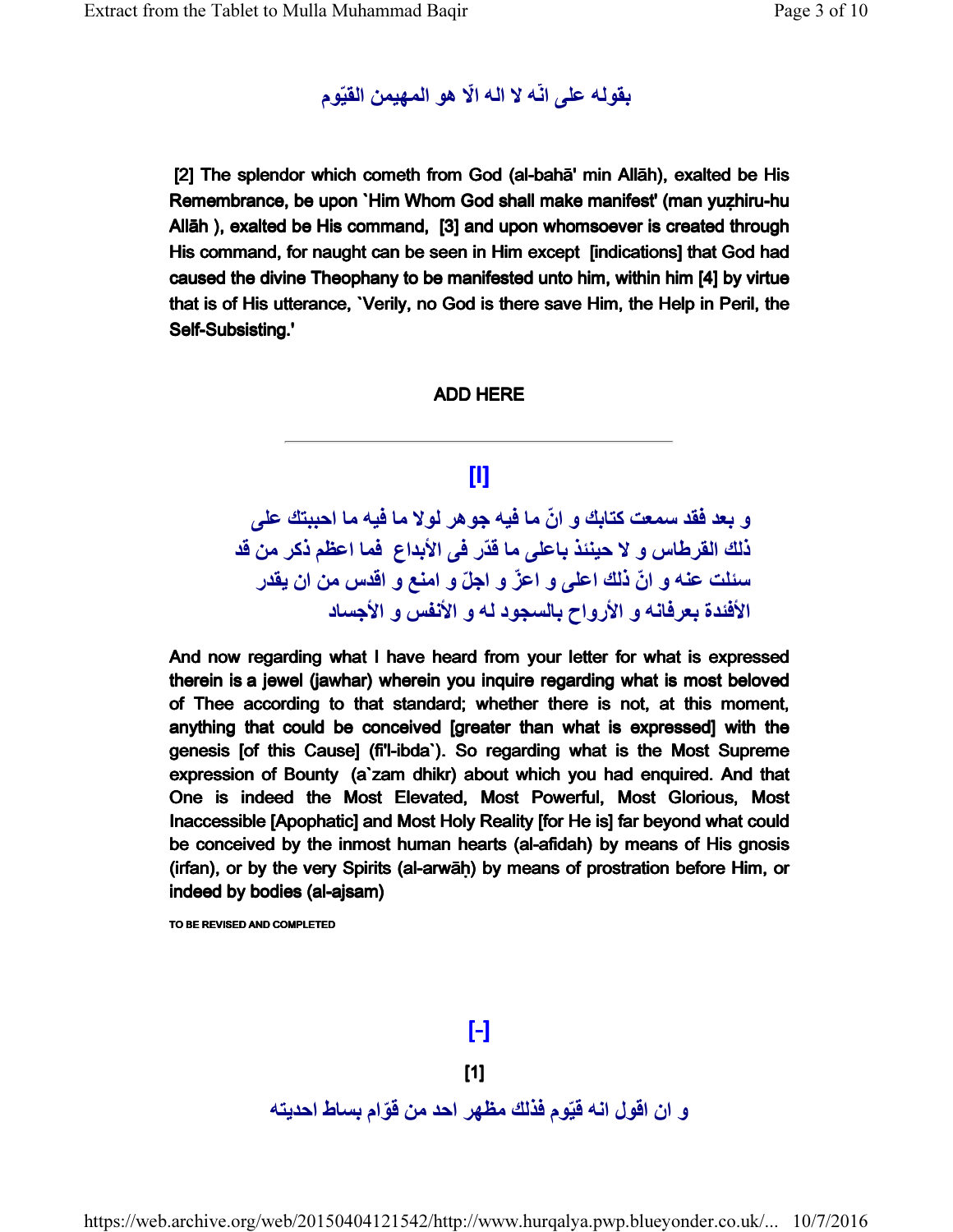## بقوله علی انّه لا اله اّلا هو المهيمن القيّوم

 [2] The splendor which cometh from God (al-bahā' min Allāh), exalted be His Remembrance, be upon `Him Whom God shall make manifest' (man yuẓhiru-hu Allāh ), exalted be His command, [3] and upon whomsoever is created through His command, for naught can be seen in Him except [indications] that God had caused the divine Theophany to be manifested unto him, within him [4] by virtue that is of His utterance, `Verily, no God is there save Him, the Help in Peril, the Self-Subsisting.'

#### ADD HERE

## [I]

و بعد فقد سمعت كتابك و انّ ما فيه جو هر لو لا ما فيه ما احبيتك على نلك القرطاس و لا حينئذ باعلى ما قدّر في الأبداع ٍ فما اعظم ذكر من قد سئلت عنه و انّ ذلك اعلى و اعزّ و اجلّ و امنع و اقدس من ان يقدر الأفئدة بعرفانه و الأرواح بالسجود له و الأنفس و الأجساد

And now regarding what I have heard from your letter for what is expressed therein is a jewel (jawhar) wherein you inquire regarding what is most beloved of Thee according to that standard; whether there is not, at this moment, anything that could be conceived [greater than what is expressed] with the genesis [of this Cause] (fi'l-ibda`). So regarding what is the Most Supreme expression of Bounty (a`zam dhikr) about which you had enquired. And that One is indeed the Most Elevated, Most Powerful, Most Glorious, Most Inaccessible [Apophatic] and Most Holy Reality [for He is] far beyond what could be conceived by the inmost human hearts (al-afidah) by means of His gnosis (irfan), or by the very Spirits (al-arwāḥ) by means of prostration before Him, or indeed by bodies (al-ajsam)

TO BE REVISED AND COMPLETED

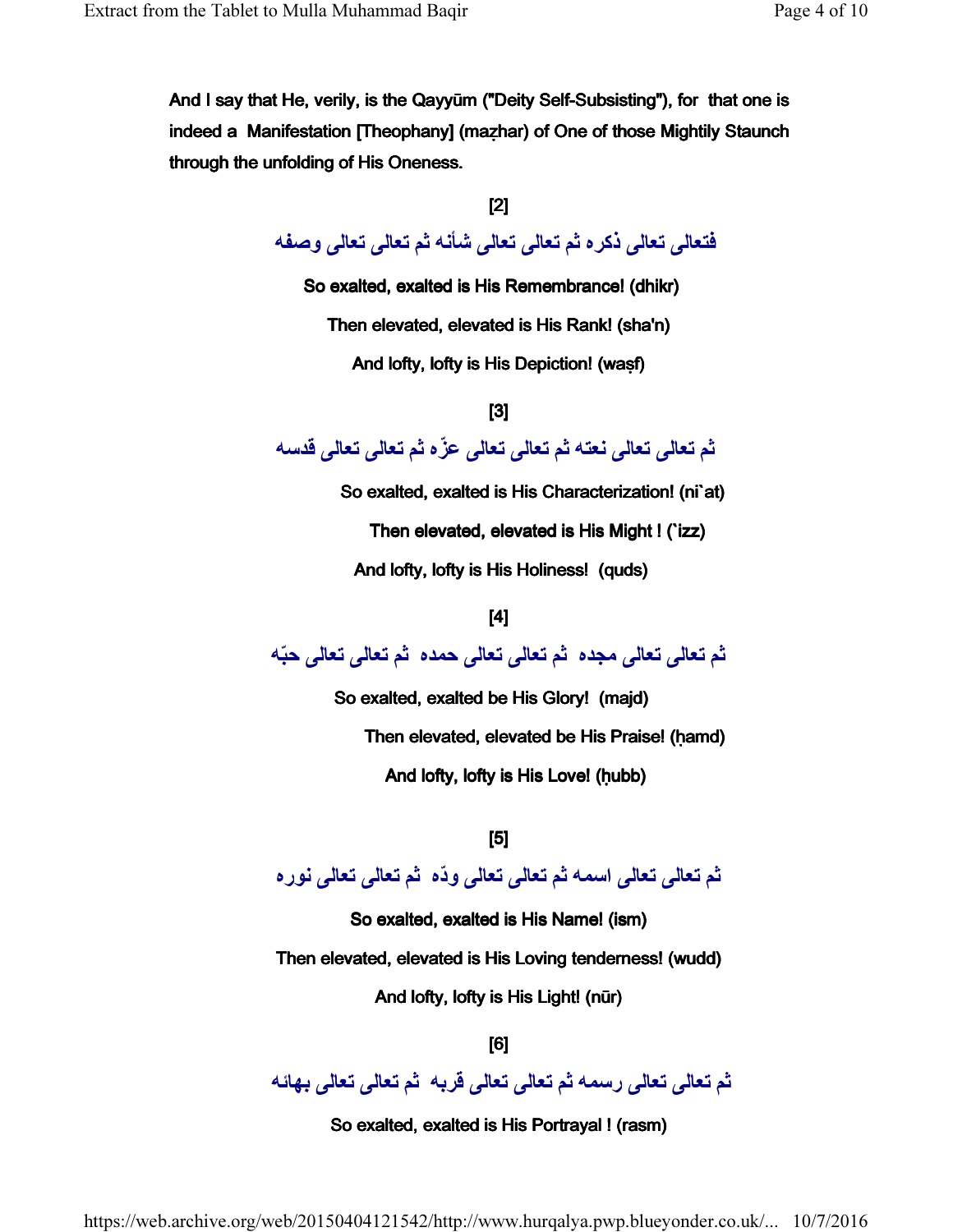And I say that He, verily, is the Qayyūm ("Deity Self-Subsisting"), for that one is indeed a Manifestation [Theophany] (mazhar) of One of those Mightily Staunch through the unfolding of His Oneness.

[2]

فتعالی تعالی ذکره ثم تعالی تعالی شأنه ثم تعالی تعالی وصفه

So exalted, exalted is His Remembrance! (dhikr)

Then elevated, elevated is His Rank! (sha'n)

And lofty, lofty is His Depiction! (wasf)

[3]

ثم تعالی تعالی نعته ثم تعالی تعالی عزّ ه ثم تعالی تعالی قدسه

So exalted, exalted is His Characterization! (ni`at)

Then elevated, elevated is His Might ! (`izz)

And lofty, lofty is His Holiness! (quds)

[4]

ثم تعالی تعالی مجده ً ثم تعالی یعالی حمده ً ثم تعالی عنه ب

So exalted, exalted be His Glory! (majd)

Then elevated, elevated be His Praise! (hamd)

And lofty, lofty is His Love! (hubb)

[5]

ثم تعالی تعالی اسمه ثم تعالی تعالی ودّه ۖ ثم تعالی تعالی نوره

So exalted, exalted is His Name! (ism)

Then elevated, elevated is His Loving tenderness! (wudd)

And lofty, lofty is His Light! (nūr)

[6]

ثم تعالی تعالی رسمه ثم تعالی تعالی قربه ثم تعالی تعالی بهائه

So exalted, exalted is His Portrayal ! (rasm)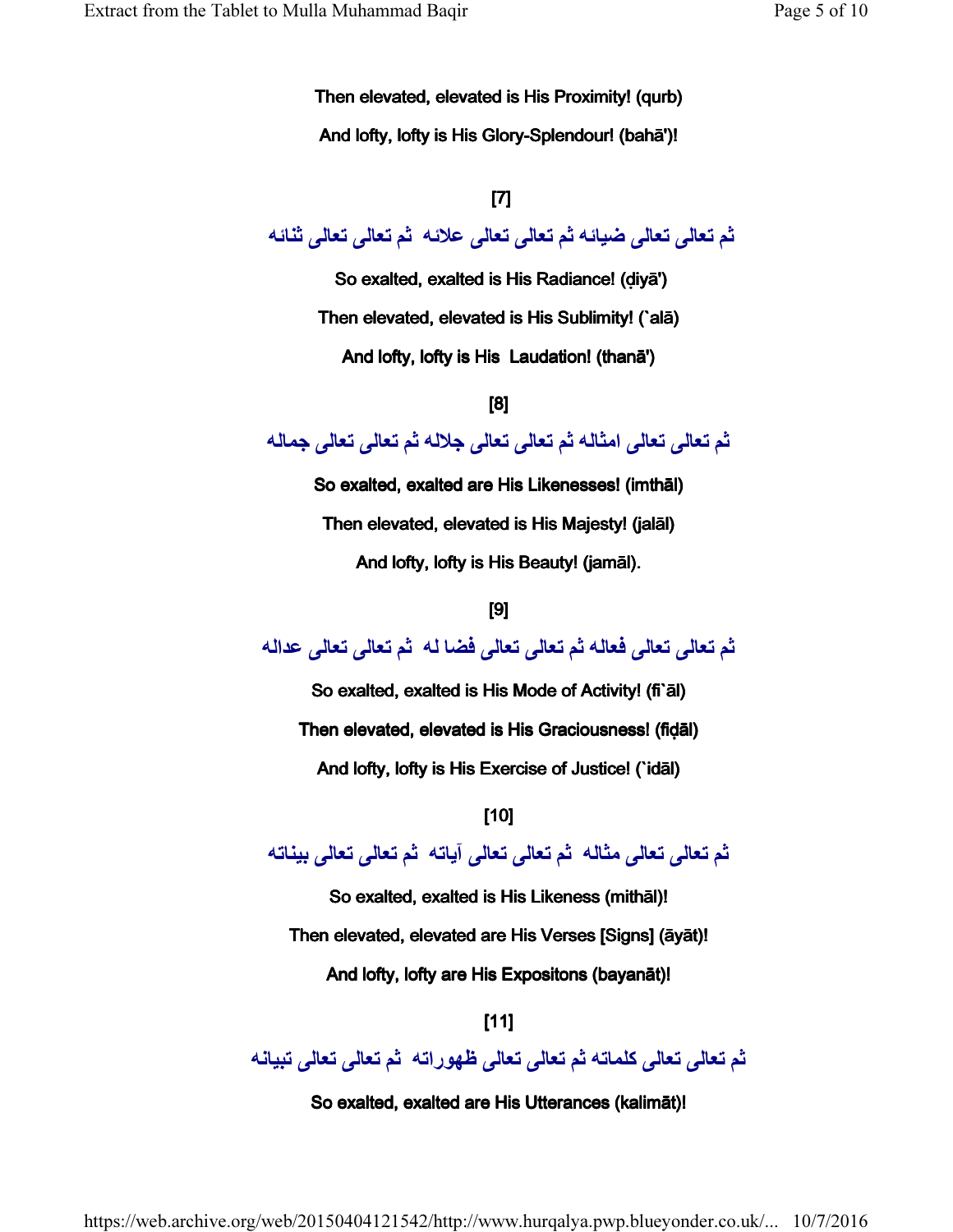Then elevated, elevated is His Proximity! (qurb)

And lofty, lofty is His Glory-Splendour! (bahā')!

#### [7]

ثم تعالی تعالی ضیائه ثم تعالی تعالی علائه ثم تعالی تعالی ثنائه

So exalted, exalted is His Radiance! (ḍiyā')

Then elevated, elevated is His Sublimity! (`alā)

And lofty, lofty is His Laudation! (thanā')

[8]

ثم تعالی تعالی امثاله ثم تعالی تعالی جلاله ثم تعالی تعالی جماله

So exalted, exalted are His Likenesses! (imthāl)

Then elevated, elevated is His Majesty! (jalāl)

And lofty, lofty is His Beauty! (jamāl).

#### [9]

ثم تعالی تعالی فعاله ثم تعالی تعالی فضا له ثم تعالی تعالی عداله

So exalted, exalted is His Mode of Activity! (fi`āl)

Then elevated, elevated is His Graciousness! (fiḍāl)

And lofty, lofty is His Exercise of Justice! (`idāl)

[10]

ثم تعالی تعالی مثاله ثم تعالی تعالی آیاته ثم تعالی تعالی بیناته

So exalted, exalted is His Likeness (mithāl)!

Then elevated, elevated are His Verses [Signs] (āyāt)!

And lofty, lofty are His Expositons (bayanāt)!

[11]

ثم تعالی تعالی کلماته ثم تعالی تعالی ظهوراته ثم تعالی تعالی تبیانه

#### So exalted, exalted are His Utterances (kalimāt)!

https://web.archive.org/web/20150404121542/http://www.hurqalya.pwp.blueyonder.co.uk/... 10/7/2016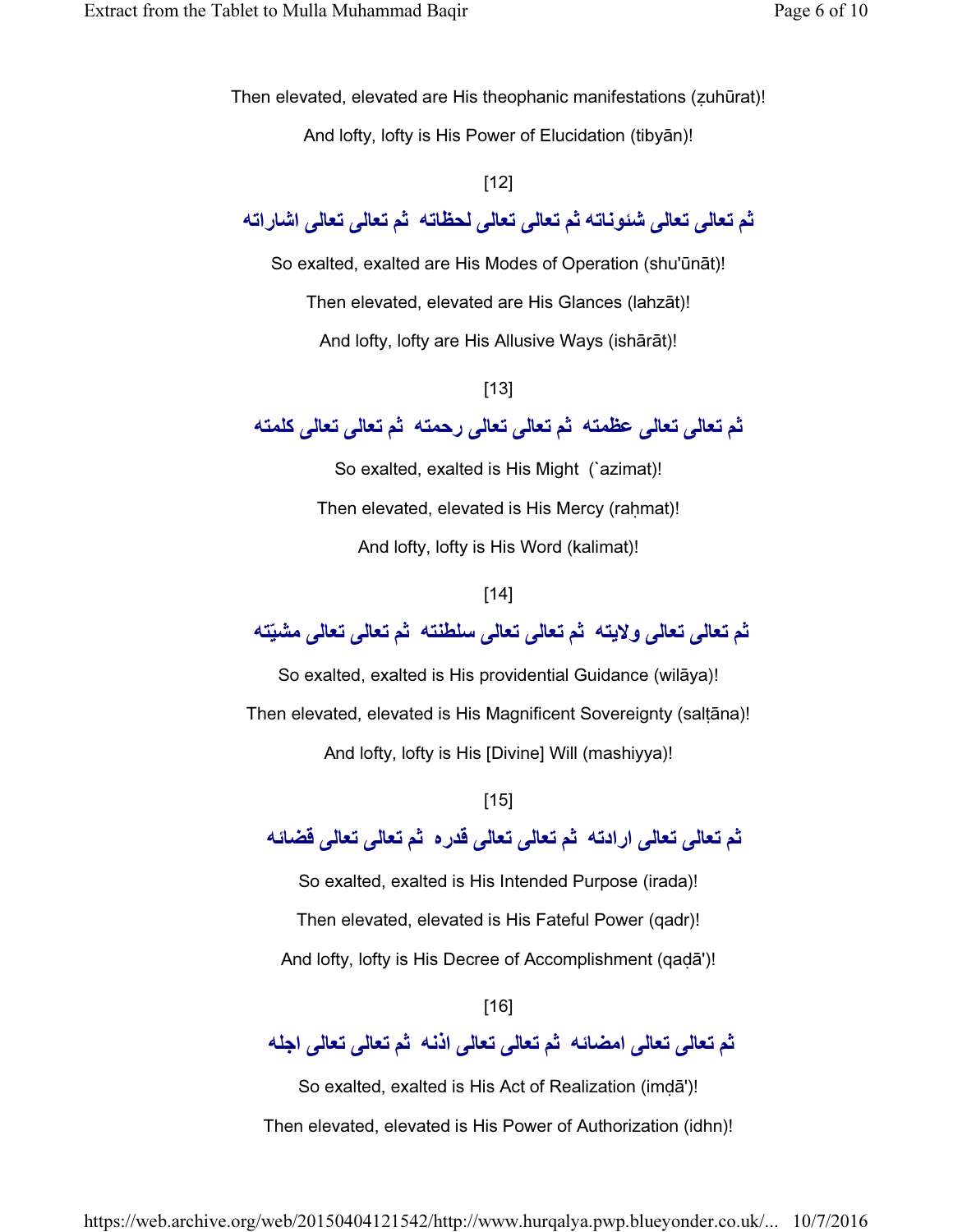Then elevated, elevated are His theophanic manifestations (ẓuhūrat)!

And lofty, lofty is His Power of Elucidation (tibyān)!

#### [12]

ثم تعال*ی* تعالی شئوناته ثم تعالی تعالی لحظاته ثم تعالی تعالی اشاراته

So exalted, exalted are His Modes of Operation (shu'ūnāt)!

Then elevated, elevated are His Glances (lahzāt)!

And lofty, lofty are His Allusive Ways (ishārāt)!

[13]

ثم تعالی تعالی عظمته ثم تعالی تعالی رحمته ثم تعالی تعالی کلمته

So exalted, exalted is His Might (`azimat)! Then elevated, elevated is His Mercy (rahmat)! And lofty, lofty is His Word (kalimat)!

#### [14]

ثم تعالى تعالى ولايته "ثم تعالى تعالى سلطنته "ثم تعالى یا عشيته

So exalted, exalted is His providential Guidance (wilāya)! Then elevated, elevated is His Magnificent Sovereignty (salṭāna)! And lofty, lofty is His [Divine] Will (mashiyya)!

[15]

ثم تعالی تعالی ارادته ثم تعالی تعالی قدره ثم تعالی تعالی قضائه

So exalted, exalted is His Intended Purpose (irada)!

Then elevated, elevated is His Fateful Power (qadr)!

And lofty, lofty is His Decree of Accomplishment (qaḍā')!

[16]

ثم تعالی تعالی امضائه ثم تعالی تعالی اذنه ثم تعالی تعالی اجله

So exalted, exalted is His Act of Realization (imḍā')! Then elevated, elevated is His Power of Authorization (idhn)!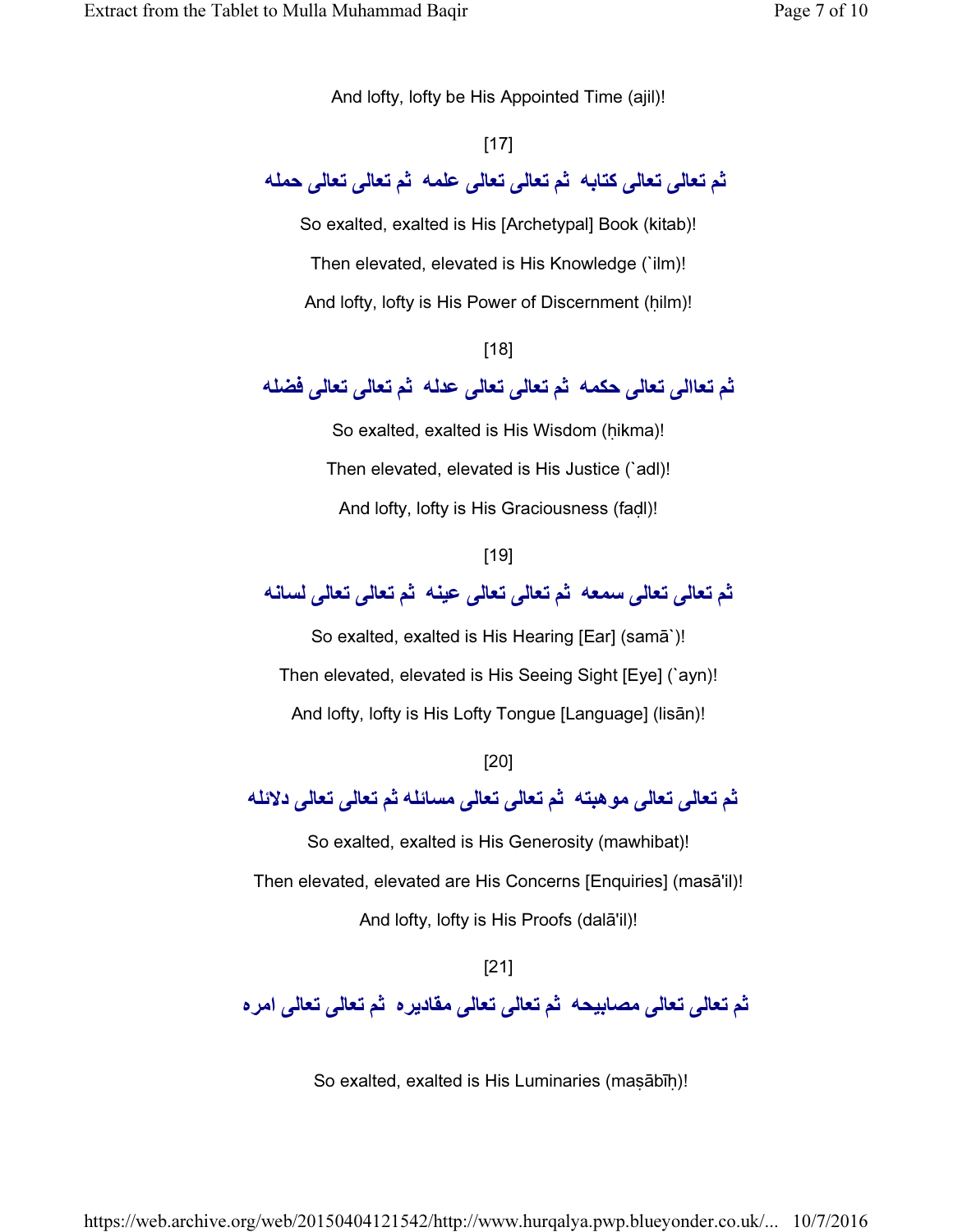And lofty, lofty be His Appointed Time (ajil)!

#### [17]

## ثم تعالی تعالی کتابه ً ثم تعالی تعالی علمه ً ثم تعالی تعالی حمله

So exalted, exalted is His [Archetypal] Book (kitab)!

Then elevated, elevated is His Knowledge (`ilm)!

And lofty, lofty is His Power of Discernment (hilm)!

#### [18]

## ثم تعاالی تعالی حکمه ثم تعالی تعالی عدله ثم تعالی تعالی فضله

So exalted, exalted is His Wisdom (hikma)! Then elevated, elevated is His Justice (`adl)! And lofty, lofty is His Graciousness (faḍl)!

#### [19]

### ثم تعالی تعالی سمعه ً ثم تعالی تعالی عینه ً ثم تعالی تعالی لسانه

So exalted, exalted is His Hearing [Ear] (samā`)! Then elevated, elevated is His Seeing Sight [Eye] (`ayn)! And lofty, lofty is His Lofty Tongue [Language] (lisān)!

#### [20]

### ثم تعالی تعالی مو هبته ثم تعالی تعالی مسائله ثم تعالی تعالی دلائله

So exalted, exalted is His Generosity (mawhibat)! Then elevated, elevated are His Concerns [Enquiries] (masā'il)! And lofty, lofty is His Proofs (dalā'il)!

#### [21]

ثم تعالی تعالی مصابیحه ً ثم تعالی تعالی مقادیره ً ثم تعالی تعالی امر ه

So exalted, exalted is His Luminaries (maṣābīḥ)!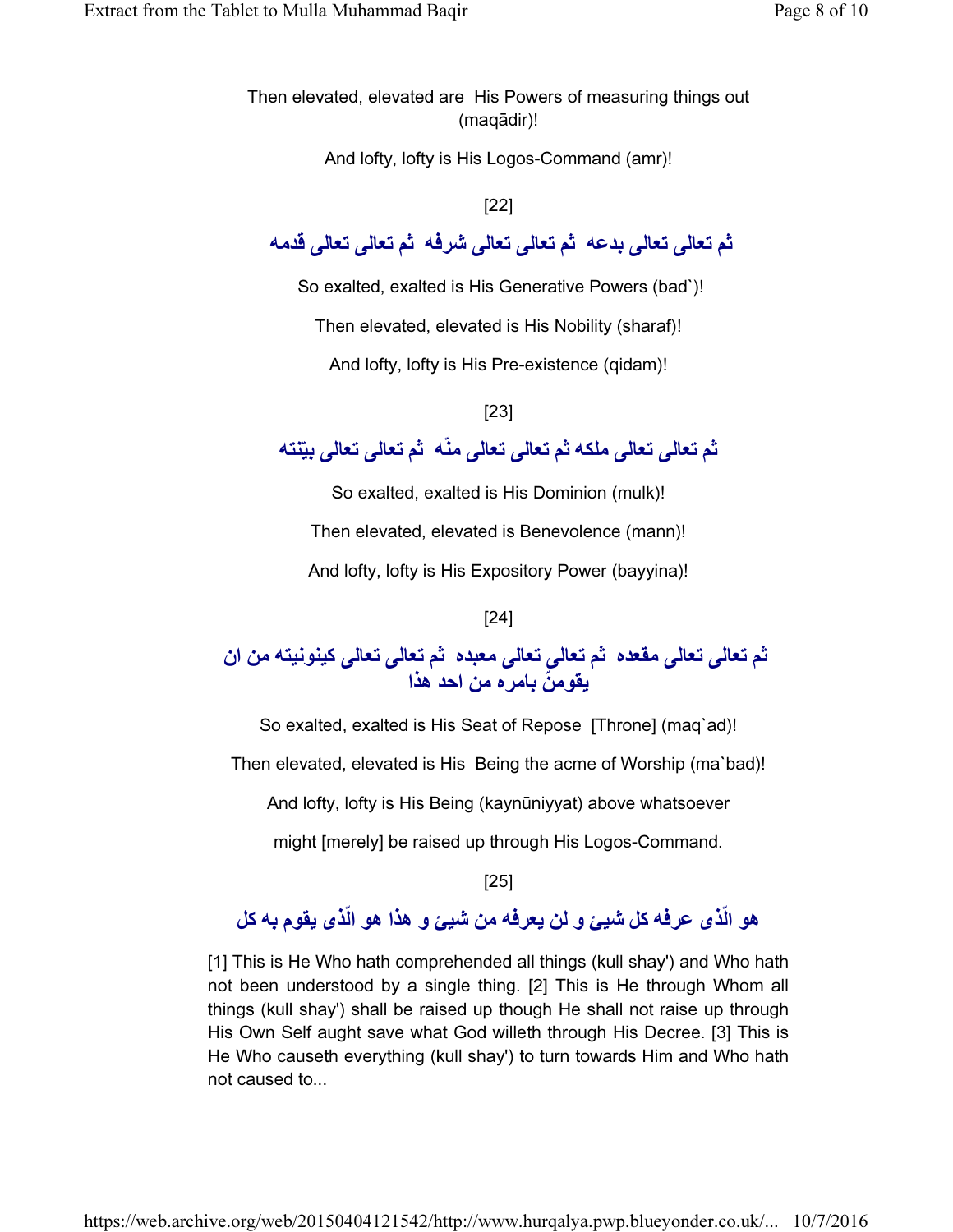Then elevated, elevated are His Powers of measuring things out (maqādir)!

And lofty, lofty is His Logos-Command (amr)!

[22]

ثم تعالی تعالی بدعه ً ثم تعالی تعالی شرفه ً ثم تعالی تعالی قدمه

So exalted, exalted is His Generative Powers (bad`)!

Then elevated, elevated is His Nobility (sharaf)!

And lofty, lofty is His Pre-existence (qidam)!

[23]

ثم تعالی تعالی ملکه ثم تعالی تعالی منّه ۖ ثم تعالی یبیّنته

So exalted, exalted is His Dominion (mulk)!

Then elevated, elevated is Benevolence (mann)!

And lofty, lofty is His Expository Power (bayyina)!

[24]

ثم تعالى تعالى مقعده ثم تعالى تعالى معبده ثم تعالى تعالى كينونيته من ان بقو منّ بامر ه من احد هذا

So exalted, exalted is His Seat of Repose [Throne] (maq`ad)!

Then elevated, elevated is His Being the acme of Worship (ma`bad)!

And lofty, lofty is His Being (kaynūniyyat) above whatsoever

might [merely] be raised up through His Logos-Command.

[25]

# هو الّذي عرفه كل شيئ و لن يعرفه من شيئ و هذا هو الّذي يقوم به كل

[1] This is He Who hath comprehended all things (kull shay') and Who hath not been understood by a single thing. [2] This is He through Whom all things (kull shay') shall be raised up though He shall not raise up through His Own Self aught save what God willeth through His Decree. [3] This is He Who causeth everything (kull shay') to turn towards Him and Who hath not caused to...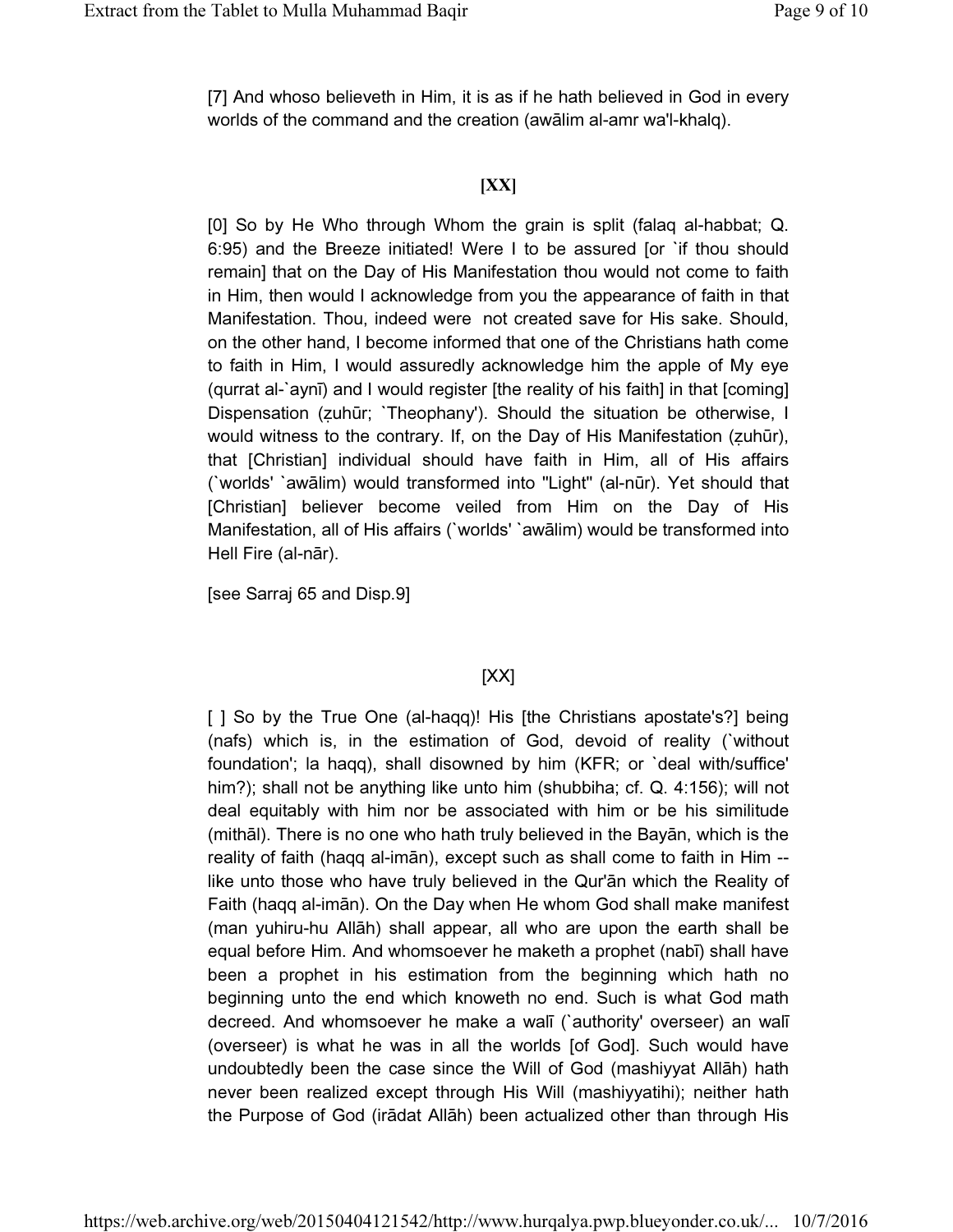[7] And whoso believeth in Him, it is as if he hath believed in God in every worlds of the command and the creation (awālim al-amr wa'l-khalq).

#### $[XX]$

[0] So by He Who through Whom the grain is split (falaq al-habbat; Q. 6:95) and the Breeze initiated! Were I to be assured [or `if thou should remain] that on the Day of His Manifestation thou would not come to faith in Him, then would I acknowledge from you the appearance of faith in that Manifestation. Thou, indeed were not created save for His sake. Should, on the other hand, I become informed that one of the Christians hath come to faith in Him, I would assuredly acknowledge him the apple of My eye (qurrat al-`aynī) and I would register [the reality of his faith] in that [coming] Dispensation (ẓuhūr; `Theophany'). Should the situation be otherwise, I would witness to the contrary. If, on the Day of His Manifestation (ẓuhūr), that [Christian] individual should have faith in Him, all of His affairs (`worlds' `awālim) would transformed into "Light" (al-nūr). Yet should that [Christian] believer become veiled from Him on the Day of His Manifestation, all of His affairs (`worlds' `awālim) would be transformed into Hell Fire (al-nār).

[see Sarraj 65 and Disp.9]

#### [XX]

[] So by the True One (al-hagq)! His [the Christians apostate's?] being (nafs) which is, in the estimation of God, devoid of reality (`without foundation'; la haqq), shall disowned by him (KFR; or `deal with/suffice' him?); shall not be anything like unto him (shubbiha; cf. Q. 4:156); will not deal equitably with him nor be associated with him or be his similitude (mithāl). There is no one who hath truly believed in the Bayān, which is the reality of faith (haqq al-imān), except such as shall come to faith in Him - like unto those who have truly believed in the Qur'ān which the Reality of Faith (haqq al-imān). On the Day when He whom God shall make manifest (man yuhiru-hu Allāh) shall appear, all who are upon the earth shall be equal before Him. And whomsoever he maketh a prophet (nabī) shall have been a prophet in his estimation from the beginning which hath no beginning unto the end which knoweth no end. Such is what God math decreed. And whomsoever he make a walī (`authority' overseer) an walī (overseer) is what he was in all the worlds [of God]. Such would have undoubtedly been the case since the Will of God (mashiyyat Allāh) hath never been realized except through His Will (mashiyyatihi); neither hath the Purpose of God (irādat Allāh) been actualized other than through His